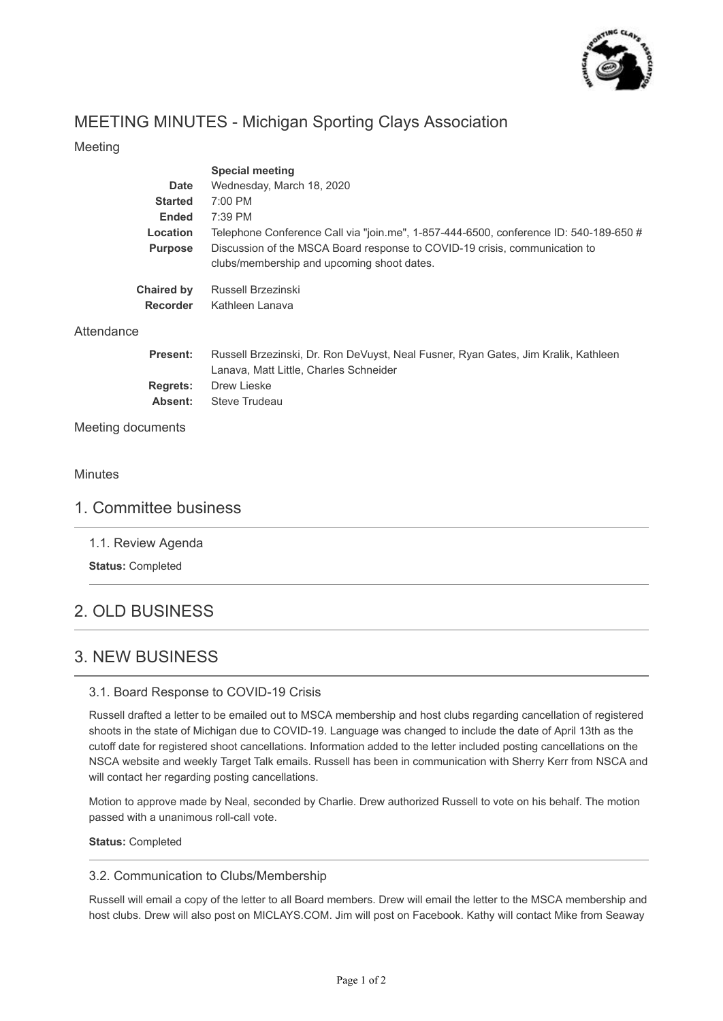

# MEETING MINUTES - Michigan Sporting Clays Association

### Meeting

|                   | <b>Special meeting</b>                                                                                                       |
|-------------------|------------------------------------------------------------------------------------------------------------------------------|
| Date              | Wednesday, March 18, 2020                                                                                                    |
| <b>Started</b>    | $7:00$ PM                                                                                                                    |
| <b>Ended</b>      | 7:39 PM                                                                                                                      |
| Location          | Telephone Conference Call via "join.me", 1-857-444-6500, conference ID: 540-189-650 $\#$                                     |
| <b>Purpose</b>    | Discussion of the MSCA Board response to COVID-19 crisis, communication to<br>clubs/membership and upcoming shoot dates.     |
| <b>Chaired by</b> | Russell Brzezinski                                                                                                           |
| <b>Recorder</b>   | Kathleen Lanava                                                                                                              |
| Attendance        |                                                                                                                              |
| <b>Present:</b>   | Russell Brzezinski, Dr. Ron DeVuyst, Neal Fusner, Ryan Gates, Jim Kralik, Kathleen<br>Lanava, Matt Little, Charles Schneider |
| <b>Regrets:</b>   | Drew Lieske                                                                                                                  |
| Absent:           | Steve Trudeau                                                                                                                |
| Meeting documents |                                                                                                                              |

#### Minutes

### 1. Committee business

1.1. Review Agenda

**Status:** Completed

# 2. OLD BUSINESS

## 3. NEW BUSINESS

#### 3.1. Board Response to COVID-19 Crisis

Russell drafted a letter to be emailed out to MSCA membership and host clubs regarding cancellation of registered shoots in the state of Michigan due to COVID-19. Language was changed to include the date of April 13th as the cutoff date for registered shoot cancellations. Information added to the letter included posting cancellations on the NSCA website and weekly Target Talk emails. Russell has been in communication with Sherry Kerr from NSCA and will contact her regarding posting cancellations.

Motion to approve made by Neal, seconded by Charlie. Drew authorized Russell to vote on his behalf. The motion passed with a unanimous roll-call vote.

**Status:** Completed

#### 3.2. Communication to Clubs/Membership

Russell will email a copy of the letter to all Board members. Drew will email the letter to the MSCA membership and host clubs. Drew will also post on MICLAYS.COM. Jim will post on Facebook. Kathy will contact Mike from Seaway